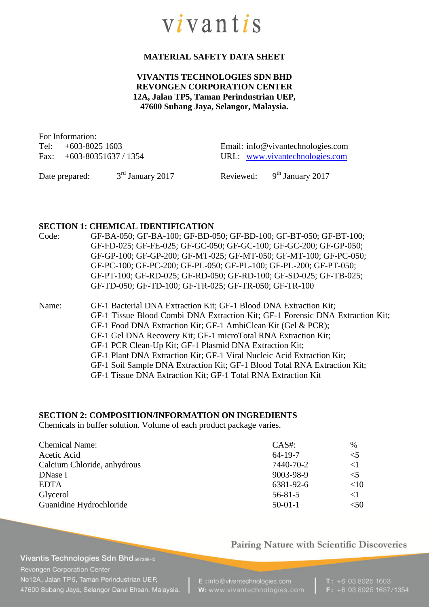

## **MATERIAL SAFETY DATA SHEET**

## **VIVANTIS TECHNOLOGIES SDN BHD REVONGEN CORPORATION CENTER 12A, Jalan TP5, Taman Perindustrian UEP, 47600 Subang Jaya, Selangor, Malaysia.**

For Information:

Tel: +603-8025 1603 Email: info@vivantechnologies.com Fax: +603-80351637 / 1354 URL: [www.vivantechnologies.com](http://www.vivantechnologies.com/)

Date prepared:  $3<sup>rd</sup>$  January 2017 Reviewed:

 $9<sup>th</sup>$  January 2017

#### **SECTION 1: CHEMICAL IDENTIFICATION**

| Code: | GF-BA-050; GF-BA-100; GF-BD-050; GF-BD-100; GF-BT-050; GF-BT-100; |
|-------|-------------------------------------------------------------------|
|       | GF-FD-025; GF-FE-025; GF-GC-050; GF-GC-100; GF-GC-200; GF-GP-050; |
|       | GF-GP-100; GF-GP-200; GF-MT-025; GF-MT-050; GF-MT-100; GF-PC-050; |
|       | GF-PC-100; GF-PC-200; GF-PL-050; GF-PL-100; GF-PL-200; GF-PT-050; |
|       | GF-PT-100; GF-RD-025; GF-RD-050; GF-RD-100; GF-SD-025; GF-TB-025; |
|       | GF-TD-050; GF-TD-100; GF-TR-025; GF-TR-050; GF-TR-100             |
|       |                                                                   |

Name: GF-1 Bacterial DNA Extraction Kit; GF-1 Blood DNA Extraction Kit;

GF-1 Tissue Blood Combi DNA Extraction Kit; GF-1 Forensic DNA Extraction Kit;

- GF-1 Food DNA Extraction Kit; GF-1 AmbiClean Kit (Gel & PCR);
- GF-1 Gel DNA Recovery Kit; GF-1 microTotal RNA Extraction Kit;
- GF-1 PCR Clean-Up Kit; GF-1 Plasmid DNA Extraction Kit;
- GF-1 Plant DNA Extraction Kit; GF-1 Viral Nucleic Acid Extraction Kit;
- GF-1 Soil Sample DNA Extraction Kit; GF-1 Blood Total RNA Extraction Kit;
- GF-1 Tissue DNA Extraction Kit; GF-1 Total RNA Extraction Kit

## **SECTION 2: COMPOSITION/INFORMATION ON INGREDIENTS**

Chemicals in buffer solution. Volume of each product package varies.

| $CAS#$ :      | $\frac{0}{0}$ |
|---------------|---------------|
| $64 - 19 - 7$ | $\leq$ 5      |
| 7440-70-2     | $\leq$ 1      |
| 9003-98-9     | $\leq$ 5      |
| 6381-92-6     | <10           |
| $56 - 81 - 5$ | $\leq$ 1      |
| $50-01-1$     | $<$ 50        |
|               |               |

#### Pairing Nature with Scientific Discoveries

Vivantis Technologies Sdn Bhd 587389-D Revongen Corporation Center No12A, Jalan TP5, Taman Perindustrian UEP, 47600 Subang Java, Selangor Darul Ehsan, Malaysia.

E: info@vivantechnologies.com W: www.vivantechnologies.com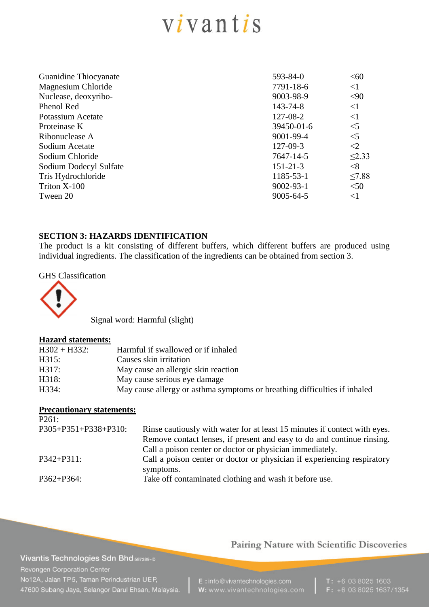# $vivantis$

| Guanidine Thiocyanate  | 593-84-0        | <60         |
|------------------------|-----------------|-------------|
| Magnesium Chloride     | 7791-18-6       | $\leq$ 1    |
| Nuclease, deoxyribo-   | 9003-98-9       | $90$        |
| Phenol Red             | 143-74-8        | $\leq$ 1    |
| Potassium Acetate      | 127-08-2        | $\leq$ 1    |
| Proteinase K           | 39450-01-6      | $<$ 5       |
| Ribonuclease A         | 9001-99-4       | $<$ 5       |
| Sodium Acetate         | $127 - 09 - 3$  | $\leq$ 2    |
| Sodium Chloride        | 7647-14-5       | $\leq$ 2.33 |
| Sodium Dodecyl Sulfate | $151 - 21 - 3$  | $<$ 8       |
| Tris Hydrochloride     | 1185-53-1       | $\leq$ 7.88 |
| Triton X-100           | $9002 - 93 - 1$ | < 50        |
| Tween 20               | 9005-64-5       | $\leq$ 1    |
|                        |                 |             |

## **SECTION 3: HAZARDS IDENTIFICATION**

The product is a kit consisting of different buffers, which different buffers are produced using individual ingredients. The classification of the ingredients can be obtained from section 3.

#### GHS Classification



Signal word: Harmful (slight)

#### **Hazard statements:**

| $H302 + H332$ : | Harmful if swallowed or if inhaled                                        |
|-----------------|---------------------------------------------------------------------------|
| H315:           | Causes skin irritation                                                    |
| H317:           | May cause an allergic skin reaction                                       |
| H318:           | May cause serious eye damage                                              |
| H334:           | May cause allergy or asthma symptoms or breathing difficulties if inhaled |

## **Precautionary statements:**

| P261:                         |                                                                           |
|-------------------------------|---------------------------------------------------------------------------|
| $P305 + P351 + P338 + P310$ : | Rinse cautiously with water for at least 15 minutes if contect with eyes. |
|                               | Remove contact lenses, if present and easy to do and continue rinsing.    |
|                               | Call a poison center or doctor or physician immediately.                  |
| $P342 + P311$ :               | Call a poison center or doctor or physician if experiencing respiratory   |
|                               | symptoms.                                                                 |
| $P362 + P364$ :               | Take off contaminated clothing and wash it before use.                    |
|                               |                                                                           |

# Pairing Nature with Scientific Discoveries

Vivantis Technologies Sdn Bhd 587389-D Revongen Corporation Center No12A, Jalan TP5, Taman Perindustrian UEP, 47600 Subang Jaya, Selangor Darul Ehsan, Malaysia.

E: info@vivantechnologies.com W: www.vivantechnologies.com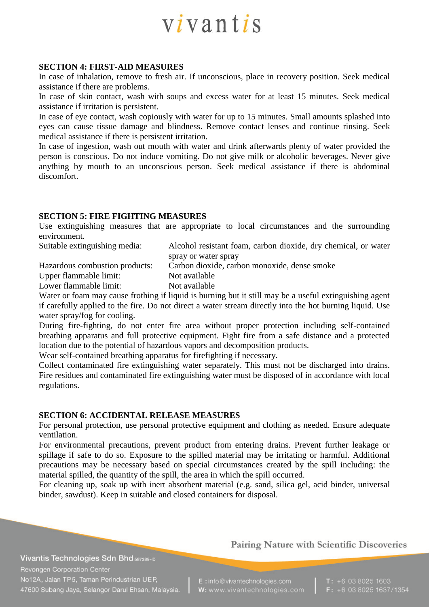

#### **SECTION 4: FIRST-AID MEASURES**

In case of inhalation, remove to fresh air. If unconscious, place in recovery position. Seek medical assistance if there are problems.

In case of skin contact, wash with soups and excess water for at least 15 minutes. Seek medical assistance if irritation is persistent.

In case of eye contact, wash copiously with water for up to 15 minutes. Small amounts splashed into eyes can cause tissue damage and blindness. Remove contact lenses and continue rinsing. Seek medical assistance if there is persistent irritation.

In case of ingestion, wash out mouth with water and drink afterwards plenty of water provided the person is conscious. Do not induce vomiting. Do not give milk or alcoholic beverages. Never give anything by mouth to an unconscious person. Seek medical assistance if there is abdominal discomfort.

#### **SECTION 5: FIRE FIGHTING MEASURES**

Use extinguishing measures that are appropriate to local circumstances and the surrounding environment.

Suitable extinguishing media: Alcohol resistant foam, carbon dioxide, dry chemical, or water spray or water spray Hazardous combustion products: Carbon dioxide, carbon monoxide, dense smoke Upper flammable limit: Not available Lower flammable limit: Not available

Water or foam may cause frothing if liquid is burning but it still may be a useful extinguishing agent if carefully applied to the fire. Do not direct a water stream directly into the hot burning liquid. Use water spray/fog for cooling.

During fire-fighting, do not enter fire area without proper protection including self-contained breathing apparatus and full protective equipment. Fight fire from a safe distance and a protected location due to the potential of hazardous vapors and decomposition products.

Wear self-contained breathing apparatus for firefighting if necessary.

Collect contaminated fire extinguishing water separately. This must not be discharged into drains. Fire residues and contaminated fire extinguishing water must be disposed of in accordance with local regulations.

#### **SECTION 6: ACCIDENTAL RELEASE MEASURES**

For personal protection, use personal protective equipment and clothing as needed. Ensure adequate ventilation.

For environmental precautions, prevent product from entering drains. Prevent further leakage or spillage if safe to do so. Exposure to the spilled material may be irritating or harmful. Additional precautions may be necessary based on special circumstances created by the spill including: the material spilled, the quantity of the spill, the area in which the spill occurred.

For cleaning up, soak up with inert absorbent material (e.g. sand, silica gel, acid binder, universal binder, sawdust). Keep in suitable and closed containers for disposal.

Vivantis Technologies Sdn Bhd 587389-D Revongen Corporation Center No12A, Jalan TP5, Taman Perindustrian UEP, 47600 Subang Jaya, Selangor Darul Ehsan, Malaysia. Pairing Nature with Scientific Discoveries

E: info@vivantechnologies.com W: www.vivantechnologies.com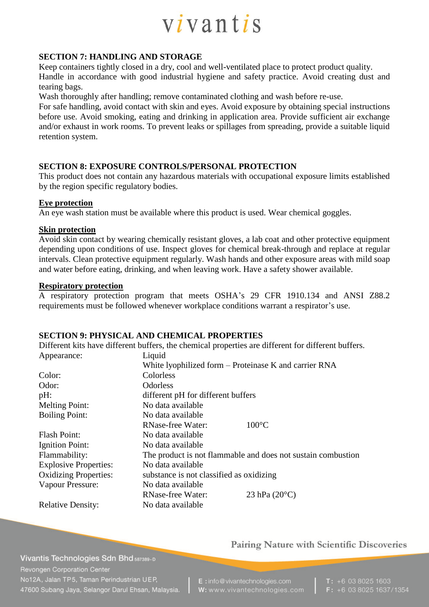

## **SECTION 7: HANDLING AND STORAGE**

Keep containers tightly closed in a dry, cool and well-ventilated place to protect product quality. Handle in accordance with good industrial hygiene and safety practice. Avoid creating dust and tearing bags.

Wash thoroughly after handling; remove contaminated clothing and wash before re-use.

For safe handling, avoid contact with skin and eyes. Avoid exposure by obtaining special instructions before use. Avoid smoking, eating and drinking in application area. Provide sufficient air exchange and/or exhaust in work rooms. To prevent leaks or spillages from spreading, provide a suitable liquid retention system.

## **SECTION 8: EXPOSURE CONTROLS/PERSONAL PROTECTION**

This product does not contain any hazardous materials with occupational exposure limits established by the region specific regulatory bodies.

#### **Eye protection**

An eye wash station must be available where this product is used. Wear chemical goggles.

#### **Skin protection**

Avoid skin contact by wearing chemically resistant gloves, a lab coat and other protective equipment depending upon conditions of use. Inspect gloves for chemical break-through and replace at regular intervals. Clean protective equipment regularly. Wash hands and other exposure areas with mild soap and water before eating, drinking, and when leaving work. Have a safety shower available.

#### **Respiratory protection**

A respiratory protection program that meets OSHA's 29 CFR 1910.134 and ANSI Z88.2 requirements must be followed whenever workplace conditions warrant a respirator's use.

#### **SECTION 9: PHYSICAL AND CHEMICAL PROPERTIES**

Different kits have different buffers, the chemical properties are different for different buffers. Appearance: Liquid

|                              |                                          | White lyophilized form – Proteinase K and carrier RNA        |
|------------------------------|------------------------------------------|--------------------------------------------------------------|
| Color:                       | Colorless                                |                                                              |
| Odor:                        | Odorless                                 |                                                              |
| $pH$ :                       | different pH for different buffers       |                                                              |
| <b>Melting Point:</b>        | No data available                        |                                                              |
| <b>Boiling Point:</b>        | No data available                        |                                                              |
|                              | <b>RNase-free Water:</b>                 | $100^{\circ}$ C                                              |
| <b>Flash Point:</b>          | No data available                        |                                                              |
| Ignition Point:              | No data available                        |                                                              |
| Flammability:                |                                          | The product is not flammable and does not sustain combustion |
| <b>Explosive Properties:</b> | No data available                        |                                                              |
| <b>Oxidizing Properties:</b> | substance is not classified as oxidizing |                                                              |
| Vapour Pressure:             | No data available                        |                                                              |
|                              | <b>RNase-free Water:</b>                 | 23 hPa $(20^{\circ}C)$                                       |
| <b>Relative Density:</b>     | No data available                        |                                                              |

Vivantis Technologies Sdn Bhd 587389-D Revongen Corporation Center No12A, Jalan TP5, Taman Perindustrian UEP, 47600 Subang Jaya, Selangor Darul Ehsan, Malaysia. Pairing Nature with Scientific Discoveries

E: info@vivantechnologies.com W: www.vivantechnologies.com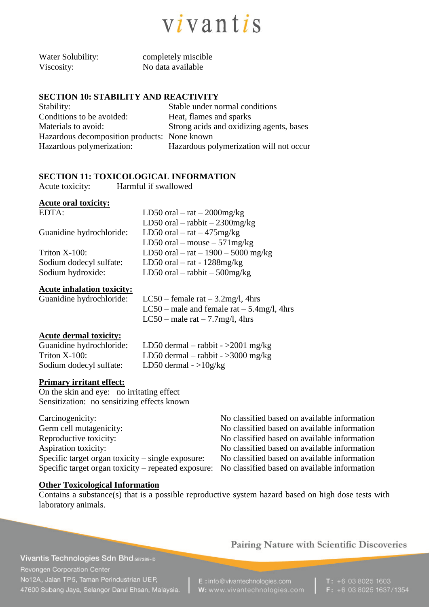

| Water Solubility: |  |
|-------------------|--|
| Viscosity:        |  |

completely miscible No data available

## **SECTION 10: STABILITY AND REACTIVITY**

| Stability:                                   | Stable under normal conditions           |
|----------------------------------------------|------------------------------------------|
| Conditions to be avoided:                    | Heat, flames and sparks                  |
| Materials to avoid:                          | Strong acids and oxidizing agents, bases |
| Hazardous decomposition products: None known |                                          |
| Hazardous polymerization:                    | Hazardous polymerization will not occur  |

## **SECTION 11: TOXICOLOGICAL INFORMATION**

Acute toxicity: Harmful if swallowed

## **Acute oral toxicity:**

| LD50 oral $-$ rat $-$ 2000mg/kg     |
|-------------------------------------|
| LD50 oral $-$ rabbit $-$ 2300mg/kg  |
| LD50 oral $-$ rat $-$ 475 mg/kg     |
| LD50 oral – mouse – $571$ mg/kg     |
| LD50 oral – rat – 1900 – 5000 mg/kg |
| LD50 oral $-$ rat - 1288mg/kg       |
| LD50 oral $-$ rabbit $-$ 500mg/kg   |
|                                     |

#### **Acute inhalation toxicity:**

Guanidine hydrochloride:  $LC50$  – female rat – 3.2mg/l, 4hrs LC50 – male and female rat – 5.4mg/l, 4hrs LC50 – male rat –  $7.7 \text{mg/l}$ , 4hrs

## **Acute dermal toxicity:**

| Guanidine hydrochloride: | LD50 dermal – rabbit - > 2001 mg/kg |
|--------------------------|-------------------------------------|
| Triton $X-100$ :         | LD50 dermal – rabbit - > 3000 mg/kg |
| Sodium dodecyl sulfate:  | LD50 dermal $-$ >10g/kg             |

#### **Primary irritant effect:**

On the skin and eye: no irritating effect Sensitization: no sensitizing effects known

| Carcinogenicity:                                    |  |
|-----------------------------------------------------|--|
| Germ cell mutagenicity:                             |  |
| Reproductive toxicity:                              |  |
| Aspiration toxicity:                                |  |
| Specific target organ toxicity $-$ single exposure: |  |
| Specific target organ toxicity – repeated exposure: |  |

No classified based on available information No classified based on available information No classified based on available information No classified based on available information No classified based on available information No classified based on available information

## **Other Toxicological Information**

Contains a substance(s) that is a possible reproductive system hazard based on high dose tests with laboratory animals.

## Vivantis Technologies Sdn Bhd 587389-D Revongen Corporation Center No12A, Jalan TP5, Taman Perindustrian UEP, 47600 Subang Jaya, Selangor Darul Ehsan, Malaysia.

## Pairing Nature with Scientific Discoveries

E: info@vivantechnologies.com W: www.vivantechnologies.com